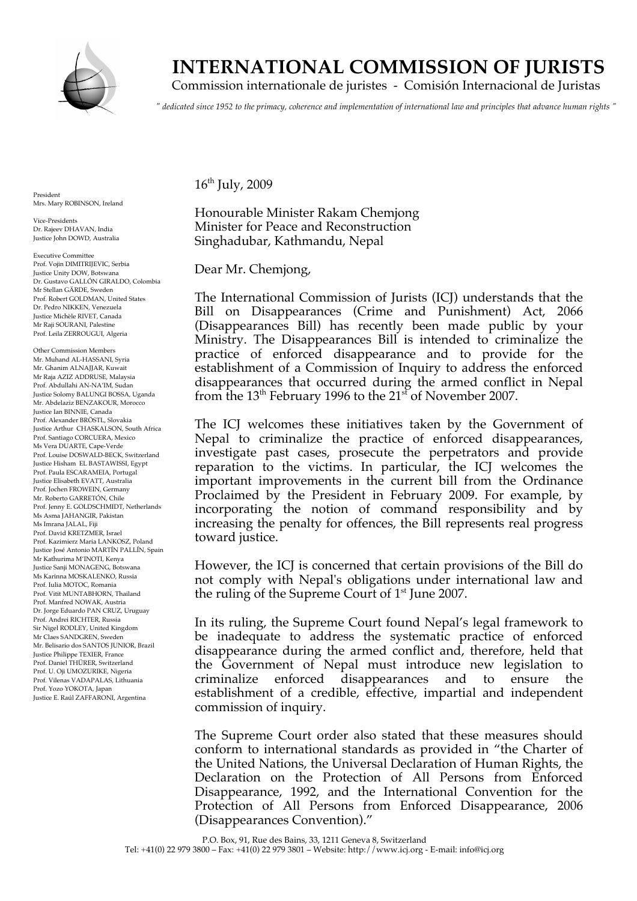

# **INTERNATIONAL COMMISSION OF JURISTS**

Commission internationale de juristes - Comisión Internacional de Juristas

*" dedicated since 1952 to the primacy, coherence and implementation of international law and principles that advance human rights "*

President Mrs. Mary ROBINSON, Ireland

Vice-Presidents Dr. Rajeev DHAVAN, India Justice John DOWD, Australia

Executive Committee Prof. Vojin DIMITRIJEVIC, Serbia Justice Unity DOW, Botswana Dr. Gustavo GALLÓN GIRALDO, Colombia Mr Stellan GÄRDE, Sweden Prof. Robert GOLDMAN, United States Dr. Pedro NIKKEN, Venezuela Justice Michèle RIVET, Canada Mr Raji SOURANI, Palestine Prof. Leila ZERROUGUI, Algeria

Other Commission Members Mr. Muhand AL-HASSANI, Syria Mr. Ghanim ALNAJJAR, Kuwait Mr Raja AZIZ ADDRUSE, Malaysia Prof. Abdullahi AN-NA'IM, Sudan Justice Solomy BALUNGI BOSSA, Uganda Mr. Abdelaziz BENZAKOUR, Morocco Justice Ian BINNIE, Canada Prof. Alexander BRÖSTL, Slovakia Justice Arthur CHASKALSON, South Africa Prof. Santiago CORCUERA, Mexico Ms Vera DUARTE, Cape-Verde Prof. Louise DOSWALD-BECK, Switzerland Justice Hisham EL BASTAWISSI, Egypt Prof. Paula ESCARAMEIA, Portugal Justice Elisabeth EVATT, Australia Prof. Jochen FROWEIN, Germany Mr. Roberto GARRETÓN, Chile Prof. Jenny E. GOLDSCHMIDT, Netherlands Ms Asma JAHANGIR, Pakistan Ms Imrana JALAL, Fiji Prof. David KRETZMER, Israel Prof. Kazimierz Maria LANKOSZ, Poland Justice José Antonio MARTÍN PALLÍN, Spain Mr Kathurima M'INOTI, Kenya Justice Sanji MONAGENG, Botswana Ms Karinna MOSKALENKO, Russia Prof. Iulia MOTOC, Romania Prof. Vitit MUNTABHORN, Thailand Prof. Manfred NOWAK, Austria Dr. Jorge Eduardo PAN CRUZ, Uruguay Prof. Andrei RICHTER, Russia Sir Nigel RODLEY, United Kingdom Mr Claes SANDGREN, Sweden Mr. Belisario dos SANTOS JUNIOR, Brazil Justice Philippe TEXIER, France Prof. Daniel THÜRER, Switzerland Prof. U. Oji UMOZURIKE, Nigeria Prof. Vilenas VADAPALAS, Lithuania Prof. Yozo YOKOTA, Japan Justice E. Raúl ZAFFARONI, Argentina

 $16<sup>th</sup>$  July, 2009

Honourable Minister Rakam Chemjong Minister for Peace and Reconstruction Singhadubar, Kathmandu, Nepal

Dear Mr. Chemjong,

The International Commission of Jurists (ICJ) understands that the Bill on Disappearances (Crime and Punishment) Act, 2066 (Disappearances Bill) has recently been made public by your Ministry. The Disappearances Bill is intended to criminalize the practice of enforced disappearance and to provide for the establishment of a Commission of Inquiry to address the enforced disappearances that occurred during the armed conflict in Nepal from the 13<sup>th</sup> February 1996 to the 21<sup>st</sup> of November 2007.

The ICJ welcomes these initiatives taken by the Government of Nepal to criminalize the practice of enforced disappearances, investigate past cases, prosecute the perpetrators and provide reparation to the victims. In particular, the ICJ welcomes the important improvements in the current bill from the Ordinance Proclaimed by the President in February 2009. For example, by incorporating the notion of command responsibility and by increasing the penalty for offences, the Bill represents real progress toward justice.

However, the ICJ is concerned that certain provisions of the Bill do not comply with Nepal's obligations under international law and the ruling of the Supreme Court of  $1<sup>st</sup>$  June 2007.

In its ruling, the Supreme Court found Nepal's legal framework to be inadequate to address the systematic practice of enforced disappearance during the armed conflict and, therefore, held that the Government of Nepal must introduce new legislation to criminalize enforced disappearances and to ensure the establishment of a credible, effective, impartial and independent commission of inquiry.

The Supreme Court order also stated that these measures should conform to international standards as provided in "the Charter of the United Nations, the Universal Declaration of Human Rights, the Declaration on the Protection of All Persons from Enforced Disappearance, 1992, and the International Convention for the Protection of All Persons from Enforced Disappearance, 2006 (Disappearances Convention)."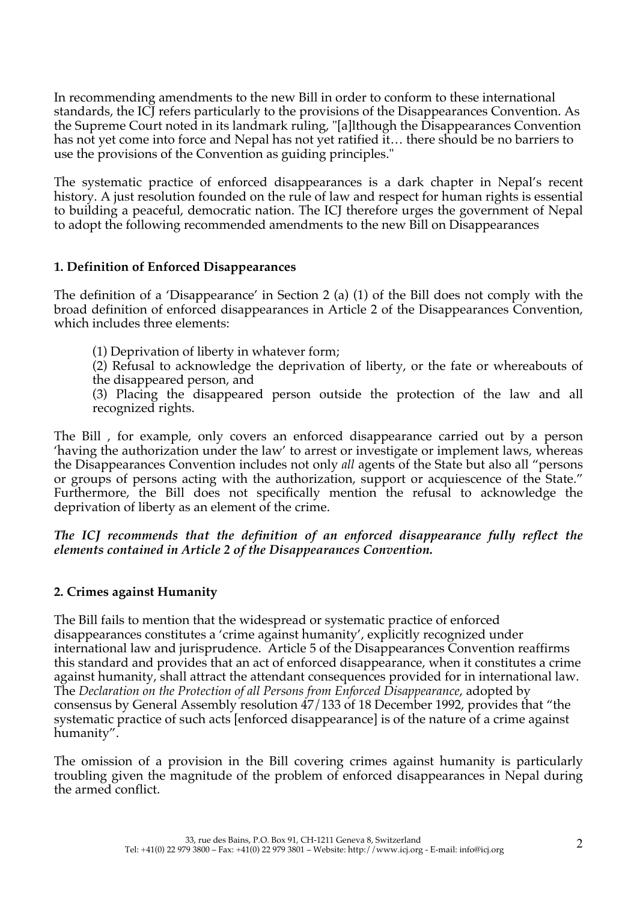In recommending amendments to the new Bill in order to conform to these international standards, the ICJ refers particularly to the provisions of the Disappearances Convention. As the Supreme Court noted in its landmark ruling, "[a]lthough the Disappearances Convention has not yet come into force and Nepal has not yet ratified it… there should be no barriers to use the provisions of the Convention as guiding principles."

The systematic practice of enforced disappearances is a dark chapter in Nepal's recent history. A just resolution founded on the rule of law and respect for human rights is essential to building a peaceful, democratic nation. The ICJ therefore urges the government of Nepal to adopt the following recommended amendments to the new Bill on Disappearances

# **1. Definition of Enforced Disappearances**

The definition of a 'Disappearance' in Section 2 (a) (1) of the Bill does not comply with the broad definition of enforced disappearances in Article 2 of the Disappearances Convention, which includes three elements:

- (1) Deprivation of liberty in whatever form;
- (2) Refusal to acknowledge the deprivation of liberty, or the fate or whereabouts of the disappeared person, and

(3) Placing the disappeared person outside the protection of the law and all recognized rights.

The Bill , for example, only covers an enforced disappearance carried out by a person 'having the authorization under the law' to arrest or investigate or implement laws, whereas the Disappearances Convention includes not only *all* agents of the State but also all "persons or groups of persons acting with the authorization, support or acquiescence of the State." Furthermore, the Bill does not specifically mention the refusal to acknowledge the deprivation of liberty as an element of the crime.

*The ICJ recommends that the definition of an enforced disappearance fully reflect the elements contained in Article 2 of the Disappearances Convention.* 

## **2. Crimes against Humanity**

The Bill fails to mention that the widespread or systematic practice of enforced disappearances constitutes a 'crime against humanity', explicitly recognized under international law and jurisprudence. Article 5 of the Disappearances Convention reaffirms this standard and provides that an act of enforced disappearance, when it constitutes a crime against humanity, shall attract the attendant consequences provided for in international law. The *Declaration on the Protection of all Persons from Enforced Disappearance*, adopted by consensus by General Assembly resolution 47/133 of 18 December 1992, provides that "the systematic practice of such acts [enforced disappearance] is of the nature of a crime against humanity".

The omission of a provision in the Bill covering crimes against humanity is particularly troubling given the magnitude of the problem of enforced disappearances in Nepal during the armed conflict.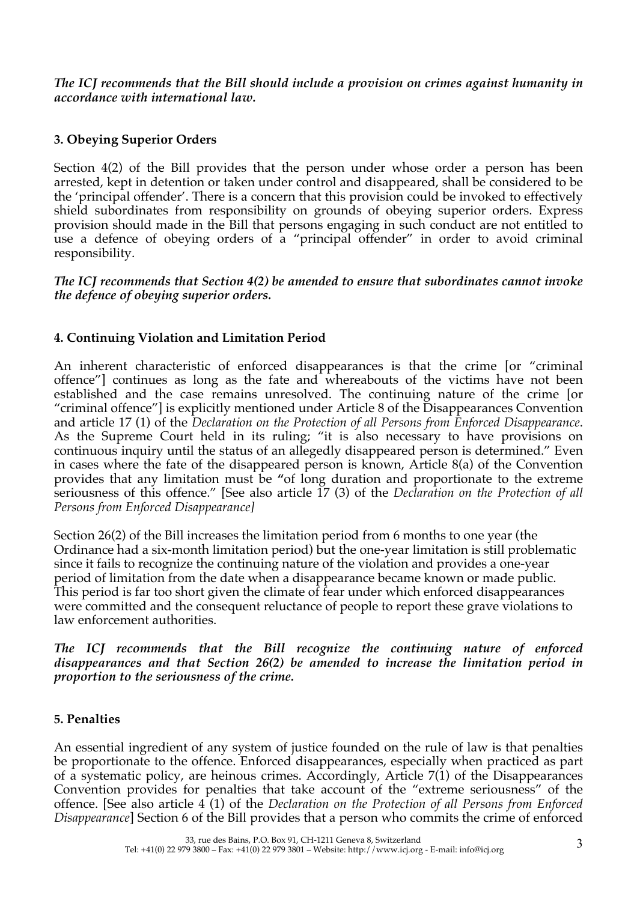*The ICJ recommends that the Bill should include a provision on crimes against humanity in accordance with international law.* 

# **3. Obeying Superior Orders**

Section 4(2) of the Bill provides that the person under whose order a person has been arrested, kept in detention or taken under control and disappeared, shall be considered to be the 'principal offender'. There is a concern that this provision could be invoked to effectively shield subordinates from responsibility on grounds of obeying superior orders. Express provision should made in the Bill that persons engaging in such conduct are not entitled to use a defence of obeying orders of a "principal offender" in order to avoid criminal responsibility.

*The ICJ recommends that Section 4(2) be amended to ensure that subordinates cannot invoke the defence of obeying superior orders.*

# **4. Continuing Violation and Limitation Period**

An inherent characteristic of enforced disappearances is that the crime [or "criminal offence"] continues as long as the fate and whereabouts of the victims have not been established and the case remains unresolved. The continuing nature of the crime [or "criminal offence"] is explicitly mentioned under Article 8 of the Disappearances Convention and article 17 (1) of the *Declaration on the Protection of all Persons from Enforced Disappearance*. As the Supreme Court held in its ruling; "it is also necessary to have provisions on continuous inquiry until the status of an allegedly disappeared person is determined." Even in cases where the fate of the disappeared person is known, Article 8(a) of the Convention provides that any limitation must be **"**of long duration and proportionate to the extreme seriousness of this offence." [See also article 17 (3) of the *Declaration on the Protection of all Persons from Enforced Disappearance]*

Section 26(2) of the Bill increases the limitation period from 6 months to one year (the Ordinance had a six-month limitation period) but the one-year limitation is still problematic since it fails to recognize the continuing nature of the violation and provides a one-year period of limitation from the date when a disappearance became known or made public. This period is far too short given the climate of fear under which enforced disappearances were committed and the consequent reluctance of people to report these grave violations to law enforcement authorities.

#### *The ICJ recommends that the Bill recognize the continuing nature of enforced disappearances and that Section 26(2) be amended to increase the limitation period in proportion to the seriousness of the crime.*

## **5. Penalties**

An essential ingredient of any system of justice founded on the rule of law is that penalties be proportionate to the offence. Enforced disappearances, especially when practiced as part of a systematic policy, are heinous crimes. Accordingly, Article 7(1) of the Disappearances Convention provides for penalties that take account of the "extreme seriousness" of the offence. [See also article 4 (1) of the *Declaration on the Protection of all Persons from Enforced Disappearance*] Section 6 of the Bill provides that a person who commits the crime of enforced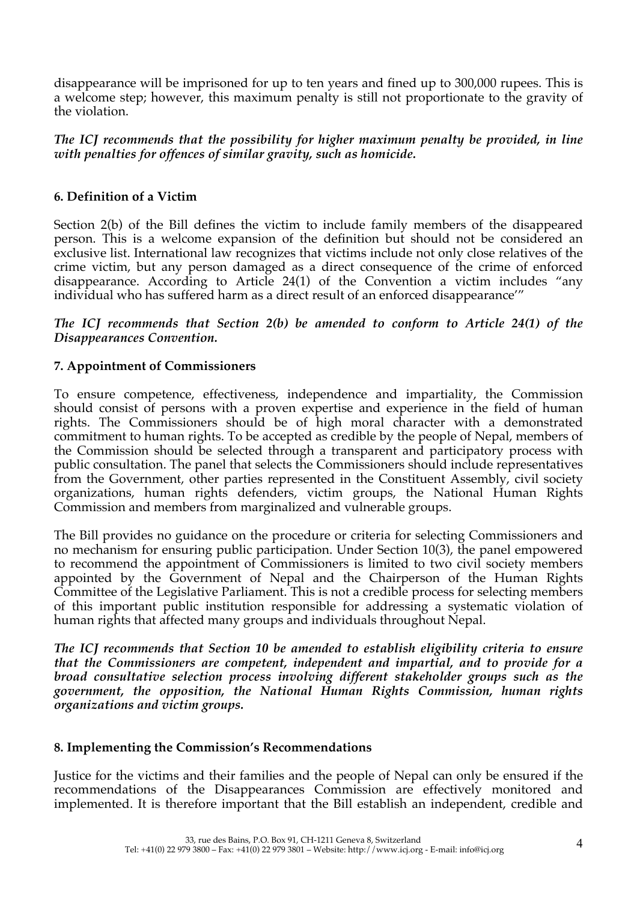disappearance will be imprisoned for up to ten years and fined up to 300,000 rupees. This is a welcome step; however, this maximum penalty is still not proportionate to the gravity of the violation.

*The ICJ recommends that the possibility for higher maximum penalty be provided, in line with penalties for offences of similar gravity, such as homicide.*

# **6. Definition of a Victim**

Section 2(b) of the Bill defines the victim to include family members of the disappeared person. This is a welcome expansion of the definition but should not be considered an exclusive list. International law recognizes that victims include not only close relatives of the crime victim, but any person damaged as a direct consequence of the crime of enforced disappearance. According to Article 24(1) of the Convention a victim includes "any individual who has suffered harm as a direct result of an enforced disappearance'"

*The ICJ recommends that Section 2(b) be amended to conform to Article 24(1) of the Disappearances Convention.* 

## **7. Appointment of Commissioners**

To ensure competence, effectiveness, independence and impartiality, the Commission should consist of persons with a proven expertise and experience in the field of human rights. The Commissioners should be of high moral character with a demonstrated commitment to human rights. To be accepted as credible by the people of Nepal, members of the Commission should be selected through a transparent and participatory process with public consultation. The panel that selects the Commissioners should include representatives from the Government, other parties represented in the Constituent Assembly, civil society organizations, human rights defenders, victim groups, the National Human Rights Commission and members from marginalized and vulnerable groups.

The Bill provides no guidance on the procedure or criteria for selecting Commissioners and no mechanism for ensuring public participation. Under Section 10(3), the panel empowered to recommend the appointment of Commissioners is limited to two civil society members appointed by the Government of Nepal and the Chairperson of the Human Rights Committee of the Legislative Parliament. This is not a credible process for selecting members of this important public institution responsible for addressing a systematic violation of human rights that affected many groups and individuals throughout Nepal.

*The ICJ recommends that Section 10 be amended to establish eligibility criteria to ensure that the Commissioners are competent, independent and impartial, and to provide for a broad consultative selection process involving different stakeholder groups such as the government, the opposition, the National Human Rights Commission, human rights organizations and victim groups.* 

## **8. Implementing the Commission's Recommendations**

Justice for the victims and their families and the people of Nepal can only be ensured if the recommendations of the Disappearances Commission are effectively monitored and implemented. It is therefore important that the Bill establish an independent, credible and